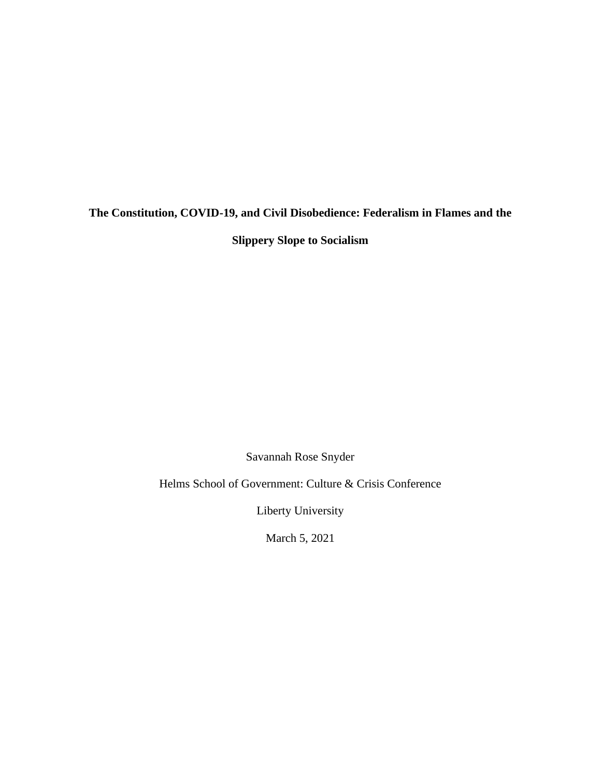# **The Constitution, COVID-19, and Civil Disobedience: Federalism in Flames and the Slippery Slope to Socialism**

Savannah Rose Snyder

Helms School of Government: Culture & Crisis Conference

Liberty University

March 5, 2021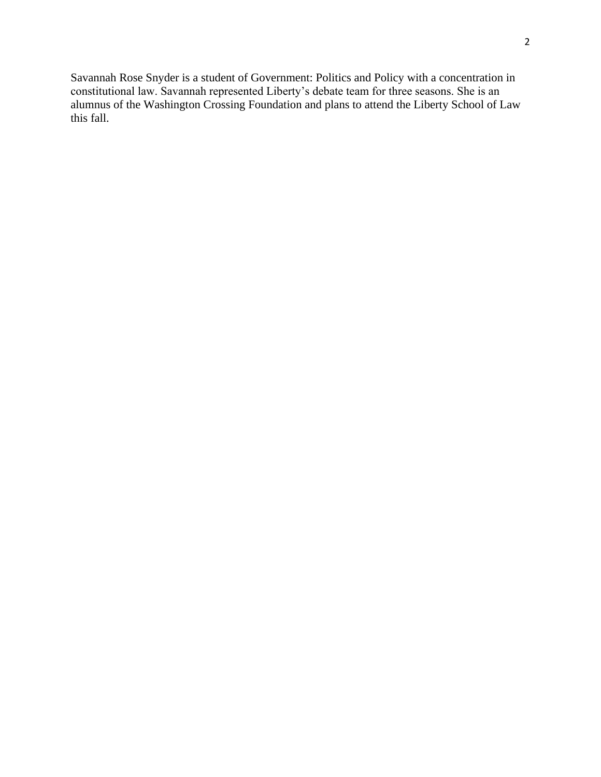Savannah Rose Snyder is a student of Government: Politics and Policy with a concentration in constitutional law. Savannah represented Liberty's debate team for three seasons. She is an alumnus of the Washington Crossing Foundation and plans to attend the Liberty School of Law this fall.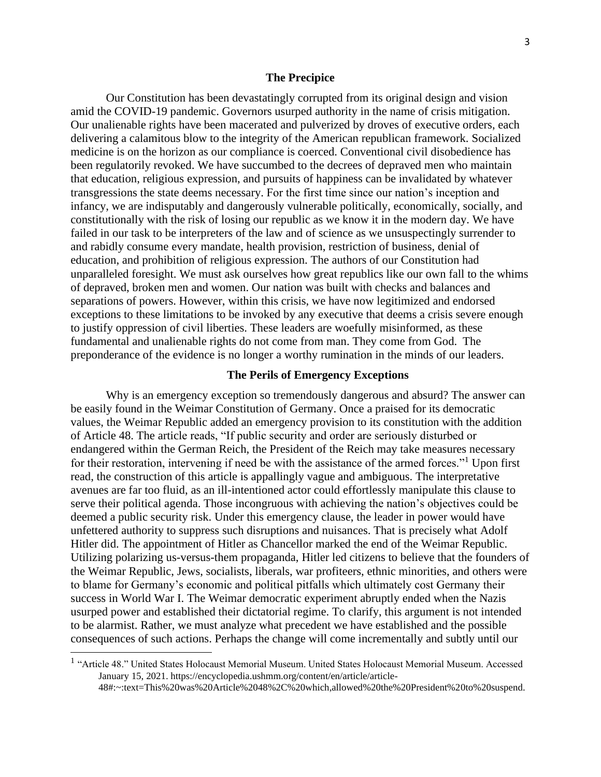#### **The Precipice**

Our Constitution has been devastatingly corrupted from its original design and vision amid the COVID-19 pandemic. Governors usurped authority in the name of crisis mitigation. Our unalienable rights have been macerated and pulverized by droves of executive orders, each delivering a calamitous blow to the integrity of the American republican framework. Socialized medicine is on the horizon as our compliance is coerced. Conventional civil disobedience has been regulatorily revoked. We have succumbed to the decrees of depraved men who maintain that education, religious expression, and pursuits of happiness can be invalidated by whatever transgressions the state deems necessary. For the first time since our nation's inception and infancy, we are indisputably and dangerously vulnerable politically, economically, socially, and constitutionally with the risk of losing our republic as we know it in the modern day. We have failed in our task to be interpreters of the law and of science as we unsuspectingly surrender to and rabidly consume every mandate, health provision, restriction of business, denial of education, and prohibition of religious expression. The authors of our Constitution had unparalleled foresight. We must ask ourselves how great republics like our own fall to the whims of depraved, broken men and women. Our nation was built with checks and balances and separations of powers. However, within this crisis, we have now legitimized and endorsed exceptions to these limitations to be invoked by any executive that deems a crisis severe enough to justify oppression of civil liberties. These leaders are woefully misinformed, as these fundamental and unalienable rights do not come from man. They come from God. The preponderance of the evidence is no longer a worthy rumination in the minds of our leaders.

#### **The Perils of Emergency Exceptions**

Why is an emergency exception so tremendously dangerous and absurd? The answer can be easily found in the Weimar Constitution of Germany. Once a praised for its democratic values, the Weimar Republic added an emergency provision to its constitution with the addition of Article 48. The article reads, "If public security and order are seriously disturbed or endangered within the German Reich, the President of the Reich may take measures necessary for their restoration, intervening if need be with the assistance of the armed forces."<sup>1</sup> Upon first read, the construction of this article is appallingly vague and ambiguous. The interpretative avenues are far too fluid, as an ill-intentioned actor could effortlessly manipulate this clause to serve their political agenda. Those incongruous with achieving the nation's objectives could be deemed a public security risk. Under this emergency clause, the leader in power would have unfettered authority to suppress such disruptions and nuisances. That is precisely what Adolf Hitler did. The appointment of Hitler as Chancellor marked the end of the Weimar Republic. Utilizing polarizing us-versus-them propaganda, Hitler led citizens to believe that the founders of the Weimar Republic, Jews, socialists, liberals, war profiteers, ethnic minorities, and others were to blame for Germany's economic and political pitfalls which ultimately cost Germany their success in World War I. The Weimar democratic experiment abruptly ended when the Nazis usurped power and established their dictatorial regime. To clarify, this argument is not intended to be alarmist. Rather, we must analyze what precedent we have established and the possible consequences of such actions. Perhaps the change will come incrementally and subtly until our

<sup>&</sup>lt;sup>1</sup> "Article 48." United States Holocaust Memorial Museum. United States Holocaust Memorial Museum. Accessed January 15, 2021. https://encyclopedia.ushmm.org/content/en/article/article-48#:~:text=This%20was%20Article%2048%2C%20which,allowed%20the%20President%20to%20suspend.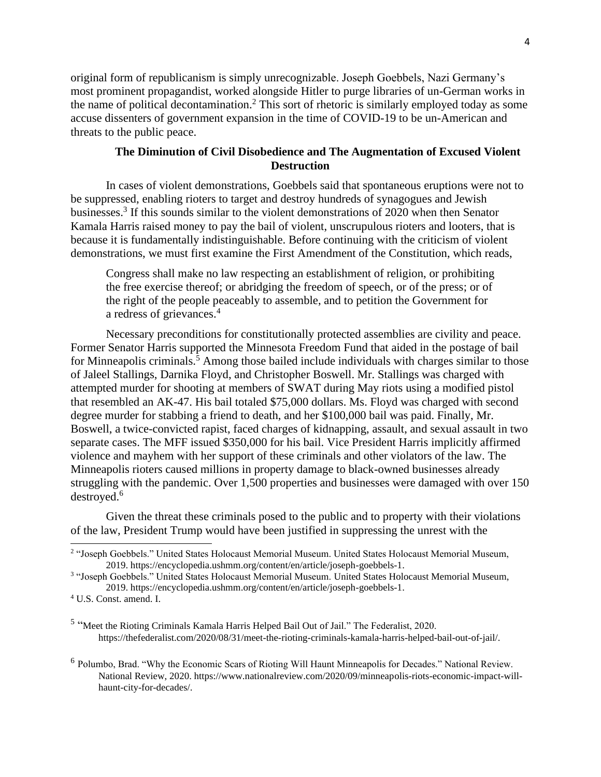original form of republicanism is simply unrecognizable. Joseph Goebbels, Nazi Germany's most prominent propagandist, worked alongside Hitler to purge libraries of un-German works in the name of political decontamination.<sup>2</sup> This sort of rhetoric is similarly employed today as some accuse dissenters of government expansion in the time of COVID-19 to be un-American and threats to the public peace.

# **The Diminution of Civil Disobedience and The Augmentation of Excused Violent Destruction**

In cases of violent demonstrations, Goebbels said that spontaneous eruptions were not to be suppressed, enabling rioters to target and destroy hundreds of synagogues and Jewish businesses.<sup>3</sup> If this sounds similar to the violent demonstrations of 2020 when then Senator Kamala Harris raised money to pay the bail of violent, unscrupulous rioters and looters, that is because it is fundamentally indistinguishable. Before continuing with the criticism of violent demonstrations, we must first examine the First Amendment of the Constitution, which reads,

Congress shall make no law respecting an establishment of religion, or prohibiting the free exercise thereof; or abridging the freedom of speech, or of the press; or of the right of the people peaceably to assemble, and to petition the Government for a redress of grievances.<sup>4</sup>

Necessary preconditions for constitutionally protected assemblies are civility and peace. Former Senator Harris supported the Minnesota Freedom Fund that aided in the postage of bail for Minneapolis criminals.<sup>5</sup> Among those bailed include individuals with charges similar to those of Jaleel Stallings, Darnika Floyd, and Christopher Boswell. Mr. Stallings was charged with attempted murder for shooting at members of SWAT during May riots using a modified pistol that resembled an AK-47. His bail totaled \$75,000 dollars. Ms. Floyd was charged with second degree murder for stabbing a friend to death, and her \$100,000 bail was paid. Finally, Mr. Boswell, a twice-convicted rapist, faced charges of kidnapping, assault, and sexual assault in two separate cases. The MFF issued \$350,000 for his bail. Vice President Harris implicitly affirmed violence and mayhem with her support of these criminals and other violators of the law. The Minneapolis rioters caused millions in property damage to black-owned businesses already struggling with the pandemic. Over 1,500 properties and businesses were damaged with over 150 destroyed.<sup>6</sup>

Given the threat these criminals posed to the public and to property with their violations of the law, President Trump would have been justified in suppressing the unrest with the

<sup>5</sup> "Meet the Rioting Criminals Kamala Harris Helped Bail Out of Jail." The Federalist, 2020. https://thefederalist.com/2020/08/31/meet-the-rioting-criminals-kamala-harris-helped-bail-out-of-jail/.

<sup>&</sup>lt;sup>2</sup> "Joseph Goebbels." United States Holocaust Memorial Museum. United States Holocaust Memorial Museum, 2019. https://encyclopedia.ushmm.org/content/en/article/joseph-goebbels-1.

<sup>3</sup> "Joseph Goebbels." United States Holocaust Memorial Museum. United States Holocaust Memorial Museum, 2019. https://encyclopedia.ushmm.org/content/en/article/joseph-goebbels-1.

<sup>4</sup> U.S. Const. amend. I.

<sup>&</sup>lt;sup>6</sup> Polumbo, Brad. "Why the Economic Scars of Rioting Will Haunt Minneapolis for Decades." National Review. National Review, 2020. https://www.nationalreview.com/2020/09/minneapolis-riots-economic-impact-willhaunt-city-for-decades/.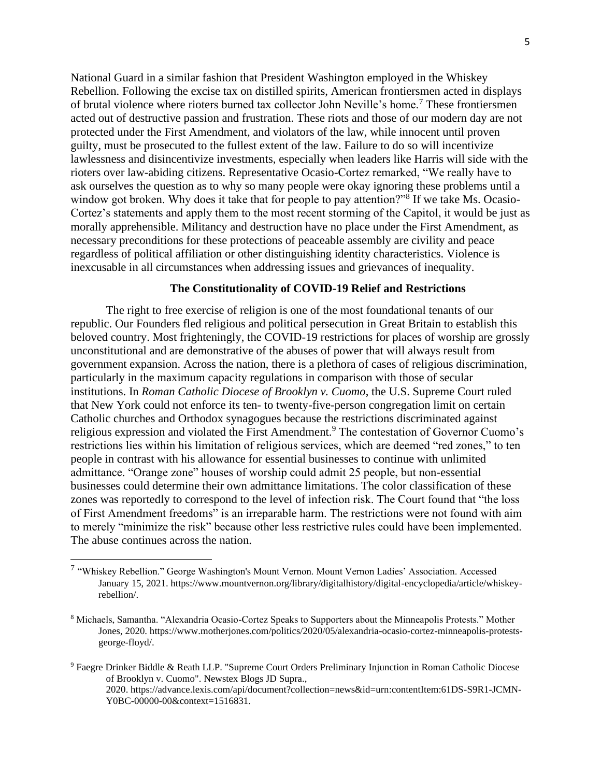National Guard in a similar fashion that President Washington employed in the Whiskey Rebellion. Following the excise tax on distilled spirits, American frontiersmen acted in displays of brutal violence where rioters burned tax collector John Neville's home.<sup>7</sup> These frontiersmen acted out of destructive passion and frustration. These riots and those of our modern day are not protected under the First Amendment, and violators of the law, while innocent until proven guilty, must be prosecuted to the fullest extent of the law. Failure to do so will incentivize lawlessness and disincentivize investments, especially when leaders like Harris will side with the rioters over law-abiding citizens. Representative Ocasio-Cortez remarked, "We really have to ask ourselves the question as to why so many people were okay ignoring these problems until a window got broken. Why does it take that for people to pay attention?"<sup>8</sup> If we take Ms. Ocasio-Cortez's statements and apply them to the most recent storming of the Capitol, it would be just as morally apprehensible. Militancy and destruction have no place under the First Amendment, as necessary preconditions for these protections of peaceable assembly are civility and peace regardless of political affiliation or other distinguishing identity characteristics. Violence is inexcusable in all circumstances when addressing issues and grievances of inequality.

#### **The Constitutionality of COVID-19 Relief and Restrictions**

The right to free exercise of religion is one of the most foundational tenants of our republic. Our Founders fled religious and political persecution in Great Britain to establish this beloved country. Most frighteningly, the COVID-19 restrictions for places of worship are grossly unconstitutional and are demonstrative of the abuses of power that will always result from government expansion. Across the nation, there is a plethora of cases of religious discrimination, particularly in the maximum capacity regulations in comparison with those of secular institutions. In *Roman Catholic Diocese of Brooklyn v. Cuomo*, the U.S. Supreme Court ruled that New York could not enforce its ten- to twenty-five-person congregation limit on certain Catholic churches and Orthodox synagogues because the restrictions discriminated against religious expression and violated the First Amendment.<sup>9</sup> The contestation of Governor Cuomo's restrictions lies within his limitation of religious services, which are deemed "red zones," to ten people in contrast with his allowance for essential businesses to continue with unlimited admittance. "Orange zone" houses of worship could admit 25 people, but non-essential businesses could determine their own admittance limitations. The color classification of these zones was reportedly to correspond to the level of infection risk. The Court found that "the loss of First Amendment freedoms" is an irreparable harm. The restrictions were not found with aim to merely "minimize the risk" because other less restrictive rules could have been implemented. The abuse continues across the nation.

<sup>&</sup>lt;sup>7</sup> "Whiskey Rebellion." George Washington's Mount Vernon. Mount Vernon Ladies' Association. Accessed January 15, 2021. https://www.mountvernon.org/library/digitalhistory/digital-encyclopedia/article/whiskeyrebellion/.

<sup>8</sup> Michaels, Samantha. "Alexandria Ocasio-Cortez Speaks to Supporters about the Minneapolis Protests." Mother Jones, 2020. https://www.motherjones.com/politics/2020/05/alexandria-ocasio-cortez-minneapolis-protestsgeorge-floyd/.

<sup>9</sup> Faegre Drinker Biddle & Reath LLP. "Supreme Court Orders Preliminary Injunction in Roman Catholic Diocese of Brooklyn v. Cuomo". Newstex Blogs JD Supra., 2020. https://advance.lexis.com/api/document?collection=news&id=urn:contentItem:61DS-S9R1-JCMN-Y0BC-00000-00&context=1516831.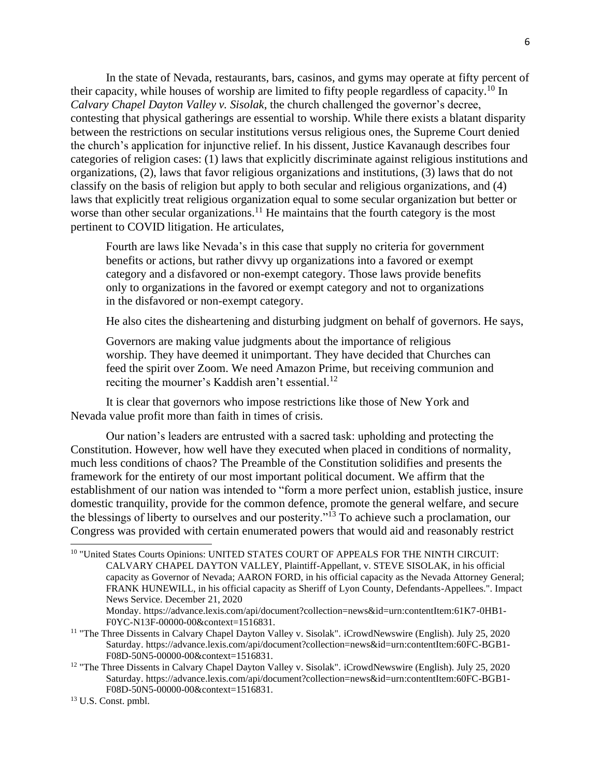In the state of Nevada, restaurants, bars, casinos, and gyms may operate at fifty percent of their capacity, while houses of worship are limited to fifty people regardless of capacity.<sup>10</sup> In *Calvary Chapel Dayton Valley v. Sisolak*, the church challenged the governor's decree, contesting that physical gatherings are essential to worship. While there exists a blatant disparity between the restrictions on secular institutions versus religious ones, the Supreme Court denied the church's application for injunctive relief. In his dissent, Justice Kavanaugh describes four categories of religion cases: (1) laws that explicitly discriminate against religious institutions and organizations, (2), laws that favor religious organizations and institutions, (3) laws that do not classify on the basis of religion but apply to both secular and religious organizations, and (4) laws that explicitly treat religious organization equal to some secular organization but better or worse than other secular organizations.<sup>11</sup> He maintains that the fourth category is the most pertinent to COVID litigation. He articulates,

Fourth are laws like Nevada's in this case that supply no criteria for government benefits or actions, but rather divvy up organizations into a favored or exempt category and a disfavored or non-exempt category. Those laws provide benefits only to organizations in the favored or exempt category and not to organizations in the disfavored or non-exempt category.

He also cites the disheartening and disturbing judgment on behalf of governors. He says,

Governors are making value judgments about the importance of religious worship. They have deemed it unimportant. They have decided that Churches can feed the spirit over Zoom. We need Amazon Prime, but receiving communion and reciting the mourner's Kaddish aren't essential.<sup>12</sup>

It is clear that governors who impose restrictions like those of New York and Nevada value profit more than faith in times of crisis.

Our nation's leaders are entrusted with a sacred task: upholding and protecting the Constitution. However, how well have they executed when placed in conditions of normality, much less conditions of chaos? The Preamble of the Constitution solidifies and presents the framework for the entirety of our most important political document. We affirm that the establishment of our nation was intended to "form a more perfect union, establish justice, insure domestic tranquility, provide for the common defence, promote the general welfare, and secure the blessings of liberty to ourselves and our posterity."<sup>13</sup> To achieve such a proclamation, our Congress was provided with certain enumerated powers that would aid and reasonably restrict

<sup>&</sup>lt;sup>10</sup> "United States Courts Opinions: UNITED STATES COURT OF APPEALS FOR THE NINTH CIRCUIT: CALVARY CHAPEL DAYTON VALLEY, Plaintiff-Appellant, v. STEVE SISOLAK, in his official capacity as Governor of Nevada; AARON FORD, in his official capacity as the Nevada Attorney General; FRANK HUNEWILL, in his official capacity as Sheriff of Lyon County, Defendants-Appellees.". Impact News Service. December 21, 2020

Monday. https://advance.lexis.com/api/document?collection=news&id=urn:contentItem:61K7-0HB1- F0YC-N13F-00000-00&context=1516831.

<sup>&</sup>lt;sup>11</sup> "The Three Dissents in Calvary Chapel Dayton Valley v. Sisolak". iCrowdNewswire (English). July 25, 2020 Saturday. https://advance.lexis.com/api/document?collection=news&id=urn:contentItem:60FC-BGB1- F08D-50N5-00000-00&context=1516831.

<sup>&</sup>lt;sup>12</sup> "The Three Dissents in Calvary Chapel Dayton Valley v. Sisolak". iCrowdNewswire (English). July 25, 2020 Saturday. https://advance.lexis.com/api/document?collection=news&id=urn:contentItem:60FC-BGB1- F08D-50N5-00000-00&context=1516831.

<sup>13</sup> U.S. Const. pmbl.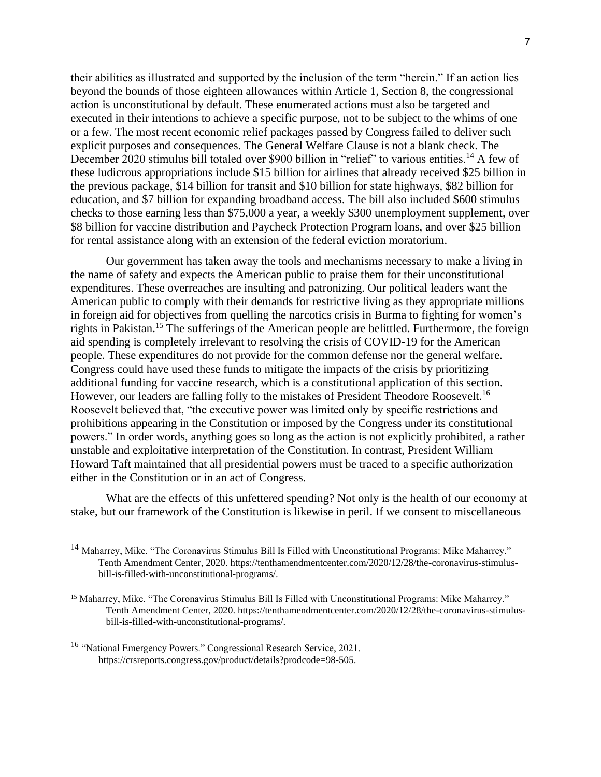their abilities as illustrated and supported by the inclusion of the term "herein." If an action lies beyond the bounds of those eighteen allowances within Article 1, Section 8, the congressional action is unconstitutional by default. These enumerated actions must also be targeted and executed in their intentions to achieve a specific purpose, not to be subject to the whims of one or a few. The most recent economic relief packages passed by Congress failed to deliver such explicit purposes and consequences. The General Welfare Clause is not a blank check. The December 2020 stimulus bill totaled over \$900 billion in "relief" to various entities.<sup>14</sup> A few of these ludicrous appropriations include \$15 billion for airlines that already received \$25 billion in the previous package, \$14 billion for transit and \$10 billion for state highways, \$82 billion for education, and \$7 billion for expanding broadband access. The bill also included \$600 stimulus checks to those earning less than \$75,000 a year, a weekly \$300 unemployment supplement, over \$8 billion for vaccine distribution and Paycheck Protection Program loans, and over \$25 billion for rental assistance along with an extension of the federal eviction moratorium.

Our government has taken away the tools and mechanisms necessary to make a living in the name of safety and expects the American public to praise them for their unconstitutional expenditures. These overreaches are insulting and patronizing. Our political leaders want the American public to comply with their demands for restrictive living as they appropriate millions in foreign aid for objectives from quelling the narcotics crisis in Burma to fighting for women's rights in Pakistan.<sup>15</sup> The sufferings of the American people are belittled. Furthermore, the foreign aid spending is completely irrelevant to resolving the crisis of COVID-19 for the American people. These expenditures do not provide for the common defense nor the general welfare. Congress could have used these funds to mitigate the impacts of the crisis by prioritizing additional funding for vaccine research, which is a constitutional application of this section. However, our leaders are falling folly to the mistakes of President Theodore Roosevelt.<sup>16</sup> Roosevelt believed that, "the executive power was limited only by specific restrictions and prohibitions appearing in the Constitution or imposed by the Congress under its constitutional powers." In order words, anything goes so long as the action is not explicitly prohibited, a rather unstable and exploitative interpretation of the Constitution. In contrast, President William Howard Taft maintained that all presidential powers must be traced to a specific authorization either in the Constitution or in an act of Congress.

What are the effects of this unfettered spending? Not only is the health of our economy at stake, but our framework of the Constitution is likewise in peril. If we consent to miscellaneous

<sup>&</sup>lt;sup>14</sup> Maharrey, Mike. "The Coronavirus Stimulus Bill Is Filled with Unconstitutional Programs: Mike Maharrey." Tenth Amendment Center, 2020. https://tenthamendmentcenter.com/2020/12/28/the-coronavirus-stimulusbill-is-filled-with-unconstitutional-programs/.

<sup>&</sup>lt;sup>15</sup> Maharrey, Mike. "The Coronavirus Stimulus Bill Is Filled with Unconstitutional Programs: Mike Maharrey." Tenth Amendment Center, 2020. https://tenthamendmentcenter.com/2020/12/28/the-coronavirus-stimulusbill-is-filled-with-unconstitutional-programs/.

<sup>16</sup> "National Emergency Powers." Congressional Research Service, 2021. https://crsreports.congress.gov/product/details?prodcode=98-505.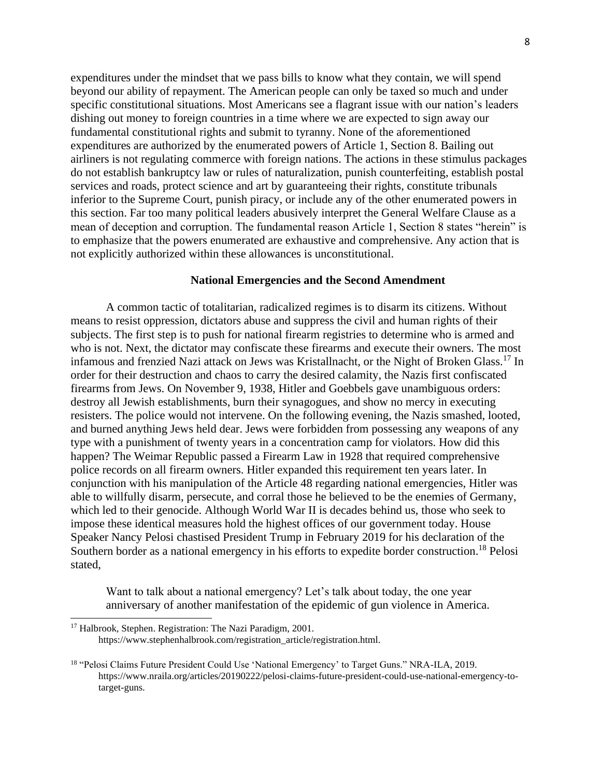expenditures under the mindset that we pass bills to know what they contain, we will spend beyond our ability of repayment. The American people can only be taxed so much and under specific constitutional situations. Most Americans see a flagrant issue with our nation's leaders dishing out money to foreign countries in a time where we are expected to sign away our fundamental constitutional rights and submit to tyranny. None of the aforementioned expenditures are authorized by the enumerated powers of Article 1, Section 8. Bailing out airliners is not regulating commerce with foreign nations. The actions in these stimulus packages do not establish bankruptcy law or rules of naturalization, punish counterfeiting, establish postal services and roads, protect science and art by guaranteeing their rights, constitute tribunals inferior to the Supreme Court, punish piracy, or include any of the other enumerated powers in this section. Far too many political leaders abusively interpret the General Welfare Clause as a mean of deception and corruption. The fundamental reason Article 1, Section 8 states "herein" is to emphasize that the powers enumerated are exhaustive and comprehensive. Any action that is not explicitly authorized within these allowances is unconstitutional.

#### **National Emergencies and the Second Amendment**

A common tactic of totalitarian, radicalized regimes is to disarm its citizens. Without means to resist oppression, dictators abuse and suppress the civil and human rights of their subjects. The first step is to push for national firearm registries to determine who is armed and who is not. Next, the dictator may confiscate these firearms and execute their owners. The most infamous and frenzied Nazi attack on Jews was Kristallnacht, or the Night of Broken Glass.<sup>17</sup> In order for their destruction and chaos to carry the desired calamity, the Nazis first confiscated firearms from Jews. On November 9, 1938, Hitler and Goebbels gave unambiguous orders: destroy all Jewish establishments, burn their synagogues, and show no mercy in executing resisters. The police would not intervene. On the following evening, the Nazis smashed, looted, and burned anything Jews held dear. Jews were forbidden from possessing any weapons of any type with a punishment of twenty years in a concentration camp for violators. How did this happen? The Weimar Republic passed a Firearm Law in 1928 that required comprehensive police records on all firearm owners. Hitler expanded this requirement ten years later. In conjunction with his manipulation of the Article 48 regarding national emergencies, Hitler was able to willfully disarm, persecute, and corral those he believed to be the enemies of Germany, which led to their genocide. Although World War II is decades behind us, those who seek to impose these identical measures hold the highest offices of our government today. House Speaker Nancy Pelosi chastised President Trump in February 2019 for his declaration of the Southern border as a national emergency in his efforts to expedite border construction.<sup>18</sup> Pelosi stated,

Want to talk about a national emergency? Let's talk about today, the one year anniversary of another manifestation of the epidemic of gun violence in America.

<sup>&</sup>lt;sup>17</sup> Halbrook, Stephen. Registration: The Nazi Paradigm, 2001. https://www.stephenhalbrook.com/registration\_article/registration.html.

<sup>18</sup> "Pelosi Claims Future President Could Use 'National Emergency' to Target Guns." NRA-ILA, 2019. https://www.nraila.org/articles/20190222/pelosi-claims-future-president-could-use-national-emergency-totarget-guns.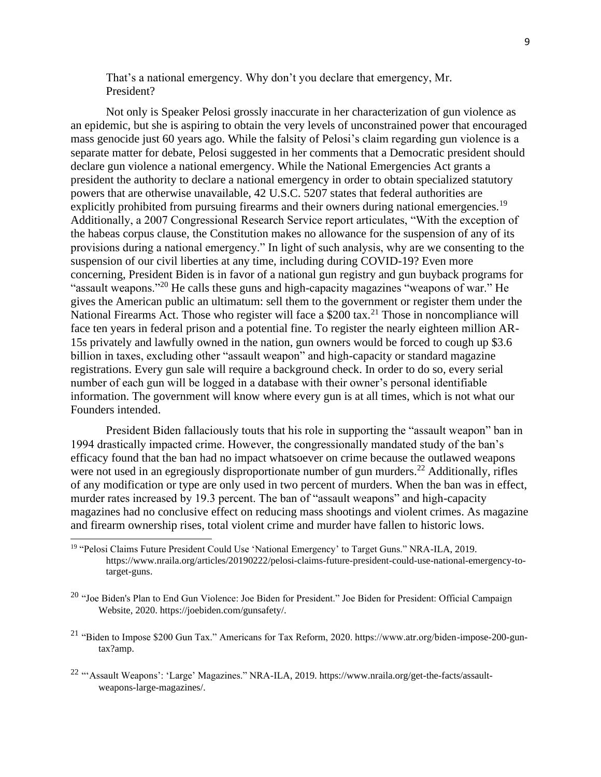That's a national emergency. Why don't you declare that emergency, Mr. President?

Not only is Speaker Pelosi grossly inaccurate in her characterization of gun violence as an epidemic, but she is aspiring to obtain the very levels of unconstrained power that encouraged mass genocide just 60 years ago. While the falsity of Pelosi's claim regarding gun violence is a separate matter for debate, Pelosi suggested in her comments that a Democratic president should declare gun violence a national emergency. While the National Emergencies Act grants a president the authority to declare a national emergency in order to obtain specialized statutory powers that are otherwise unavailable, 42 U.S.C. 5207 states that federal authorities are explicitly prohibited from pursuing firearms and their owners during national emergencies.<sup>19</sup> Additionally, a 2007 Congressional Research Service report articulates, "With the exception of the habeas corpus clause, the Constitution makes no allowance for the suspension of any of its provisions during a national emergency." In light of such analysis, why are we consenting to the suspension of our civil liberties at any time, including during COVID-19? Even more concerning, President Biden is in favor of a national gun registry and gun buyback programs for "assault weapons."<sup>20</sup> He calls these guns and high-capacity magazines "weapons of war." He gives the American public an ultimatum: sell them to the government or register them under the National Firearms Act. Those who register will face a \$200 tax.<sup>21</sup> Those in noncompliance will face ten years in federal prison and a potential fine. To register the nearly eighteen million AR-15s privately and lawfully owned in the nation, gun owners would be forced to cough up \$3.6 billion in taxes, excluding other "assault weapon" and high-capacity or standard magazine registrations. Every gun sale will require a background check. In order to do so, every serial number of each gun will be logged in a database with their owner's personal identifiable information. The government will know where every gun is at all times, which is not what our Founders intended.

President Biden fallaciously touts that his role in supporting the "assault weapon" ban in 1994 drastically impacted crime. However, the congressionally mandated study of the ban's efficacy found that the ban had no impact whatsoever on crime because the outlawed weapons were not used in an egregiously disproportionate number of gun murders.<sup>22</sup> Additionally, rifles of any modification or type are only used in two percent of murders. When the ban was in effect, murder rates increased by 19.3 percent. The ban of "assault weapons" and high-capacity magazines had no conclusive effect on reducing mass shootings and violent crimes. As magazine and firearm ownership rises, total violent crime and murder have fallen to historic lows.

<sup>22</sup> "'Assault Weapons': 'Large' Magazines." NRA-ILA, 2019. https://www.nraila.org/get-the-facts/assaultweapons-large-magazines/.

<sup>19</sup> "Pelosi Claims Future President Could Use 'National Emergency' to Target Guns." NRA-ILA, 2019. https://www.nraila.org/articles/20190222/pelosi-claims-future-president-could-use-national-emergency-totarget-guns.

<sup>&</sup>lt;sup>20</sup> "Joe Biden's Plan to End Gun Violence: Joe Biden for President." Joe Biden for President: Official Campaign Website, 2020. https://joebiden.com/gunsafety/.

<sup>&</sup>lt;sup>21</sup> "Biden to Impose \$200 Gun Tax." Americans for Tax Reform, 2020. https://www.atr.org/biden-impose-200-guntax?amp.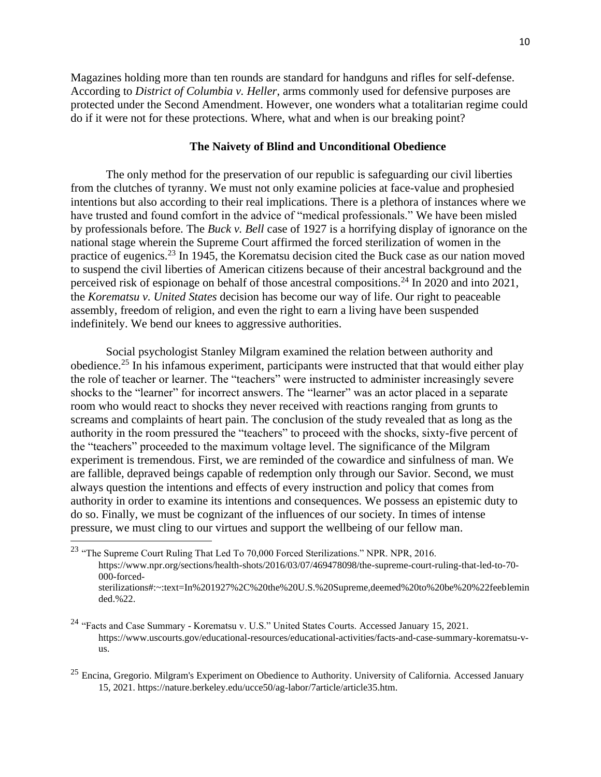Magazines holding more than ten rounds are standard for handguns and rifles for self-defense. According to *District of Columbia v. Heller*, arms commonly used for defensive purposes are protected under the Second Amendment. However, one wonders what a totalitarian regime could do if it were not for these protections. Where, what and when is our breaking point?

### **The Naivety of Blind and Unconditional Obedience**

The only method for the preservation of our republic is safeguarding our civil liberties from the clutches of tyranny. We must not only examine policies at face-value and prophesied intentions but also according to their real implications. There is a plethora of instances where we have trusted and found comfort in the advice of "medical professionals." We have been misled by professionals before. The *Buck v. Bell* case of 1927 is a horrifying display of ignorance on the national stage wherein the Supreme Court affirmed the forced sterilization of women in the practice of eugenics.<sup>23</sup> In 1945, the Korematsu decision cited the Buck case as our nation moved to suspend the civil liberties of American citizens because of their ancestral background and the perceived risk of espionage on behalf of those ancestral compositions.<sup>24</sup> In 2020 and into 2021, the *Korematsu v. United States* decision has become our way of life. Our right to peaceable assembly, freedom of religion, and even the right to earn a living have been suspended indefinitely. We bend our knees to aggressive authorities.

Social psychologist Stanley Milgram examined the relation between authority and obedience.<sup>25</sup> In his infamous experiment, participants were instructed that that would either play the role of teacher or learner. The "teachers" were instructed to administer increasingly severe shocks to the "learner" for incorrect answers. The "learner" was an actor placed in a separate room who would react to shocks they never received with reactions ranging from grunts to screams and complaints of heart pain. The conclusion of the study revealed that as long as the authority in the room pressured the "teachers" to proceed with the shocks, sixty-five percent of the "teachers" proceeded to the maximum voltage level. The significance of the Milgram experiment is tremendous. First, we are reminded of the cowardice and sinfulness of man. We are fallible, depraved beings capable of redemption only through our Savior. Second, we must always question the intentions and effects of every instruction and policy that comes from authority in order to examine its intentions and consequences. We possess an epistemic duty to do so. Finally, we must be cognizant of the influences of our society. In times of intense pressure, we must cling to our virtues and support the wellbeing of our fellow man.

<sup>&</sup>lt;sup>23</sup> "The Supreme Court Ruling That Led To 70,000 Forced Sterilizations." NPR. NPR, 2016. https://www.npr.org/sections/health-shots/2016/03/07/469478098/the-supreme-court-ruling-that-led-to-70- 000-forcedsterilizations#:~:text=In%201927%2C%20the%20U.S.%20Supreme,deemed%20to%20be%20%22feeblemin ded.%22.

<sup>24</sup> "Facts and Case Summary - Korematsu v. U.S." United States Courts. Accessed January 15, 2021. https://www.uscourts.gov/educational-resources/educational-activities/facts-and-case-summary-korematsu-vus.

<sup>&</sup>lt;sup>25</sup> Encina, Gregorio. Milgram's Experiment on Obedience to Authority. University of California. Accessed January 15, 2021. https://nature.berkeley.edu/ucce50/ag-labor/7article/article35.htm.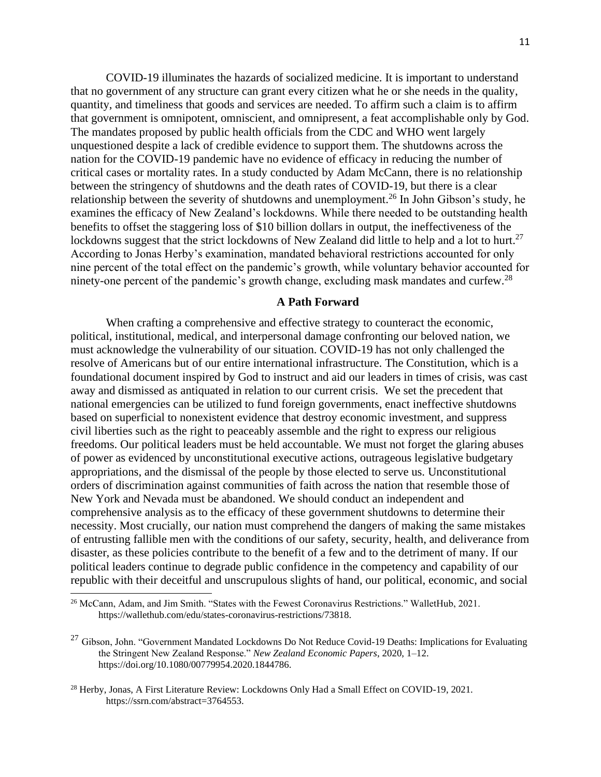COVID-19 illuminates the hazards of socialized medicine. It is important to understand that no government of any structure can grant every citizen what he or she needs in the quality, quantity, and timeliness that goods and services are needed. To affirm such a claim is to affirm that government is omnipotent, omniscient, and omnipresent, a feat accomplishable only by God. The mandates proposed by public health officials from the CDC and WHO went largely unquestioned despite a lack of credible evidence to support them. The shutdowns across the nation for the COVID-19 pandemic have no evidence of efficacy in reducing the number of critical cases or mortality rates. In a study conducted by Adam McCann, there is no relationship between the stringency of shutdowns and the death rates of COVID-19, but there is a clear relationship between the severity of shutdowns and unemployment.<sup>26</sup> In John Gibson's study, he examines the efficacy of New Zealand's lockdowns. While there needed to be outstanding health benefits to offset the staggering loss of \$10 billion dollars in output, the ineffectiveness of the lockdowns suggest that the strict lockdowns of New Zealand did little to help and a lot to hurt.<sup>27</sup> According to Jonas Herby's examination, mandated behavioral restrictions accounted for only nine percent of the total effect on the pandemic's growth, while voluntary behavior accounted for ninety-one percent of the pandemic's growth change, excluding mask mandates and curfew.<sup>28</sup>

#### **A Path Forward**

When crafting a comprehensive and effective strategy to counteract the economic, political, institutional, medical, and interpersonal damage confronting our beloved nation, we must acknowledge the vulnerability of our situation. COVID-19 has not only challenged the resolve of Americans but of our entire international infrastructure. The Constitution, which is a foundational document inspired by God to instruct and aid our leaders in times of crisis, was cast away and dismissed as antiquated in relation to our current crisis. We set the precedent that national emergencies can be utilized to fund foreign governments, enact ineffective shutdowns based on superficial to nonexistent evidence that destroy economic investment, and suppress civil liberties such as the right to peaceably assemble and the right to express our religious freedoms. Our political leaders must be held accountable. We must not forget the glaring abuses of power as evidenced by unconstitutional executive actions, outrageous legislative budgetary appropriations, and the dismissal of the people by those elected to serve us. Unconstitutional orders of discrimination against communities of faith across the nation that resemble those of New York and Nevada must be abandoned. We should conduct an independent and comprehensive analysis as to the efficacy of these government shutdowns to determine their necessity. Most crucially, our nation must comprehend the dangers of making the same mistakes of entrusting fallible men with the conditions of our safety, security, health, and deliverance from disaster, as these policies contribute to the benefit of a few and to the detriment of many. If our political leaders continue to degrade public confidence in the competency and capability of our republic with their deceitful and unscrupulous slights of hand, our political, economic, and social

<sup>&</sup>lt;sup>26</sup> McCann, Adam, and Jim Smith. "States with the Fewest Coronavirus Restrictions." WalletHub, 2021. https://wallethub.com/edu/states-coronavirus-restrictions/73818.

<sup>&</sup>lt;sup>27</sup> Gibson, John. "Government Mandated Lockdowns Do Not Reduce Covid-19 Deaths: Implications for Evaluating the Stringent New Zealand Response." *New Zealand Economic Papers*, 2020, 1–12. https://doi.org/10.1080/00779954.2020.1844786.

<sup>&</sup>lt;sup>28</sup> Herby, Jonas, A First Literature Review: Lockdowns Only Had a Small Effect on COVID-19, 2021. https://ssrn.com/abstract=3764553.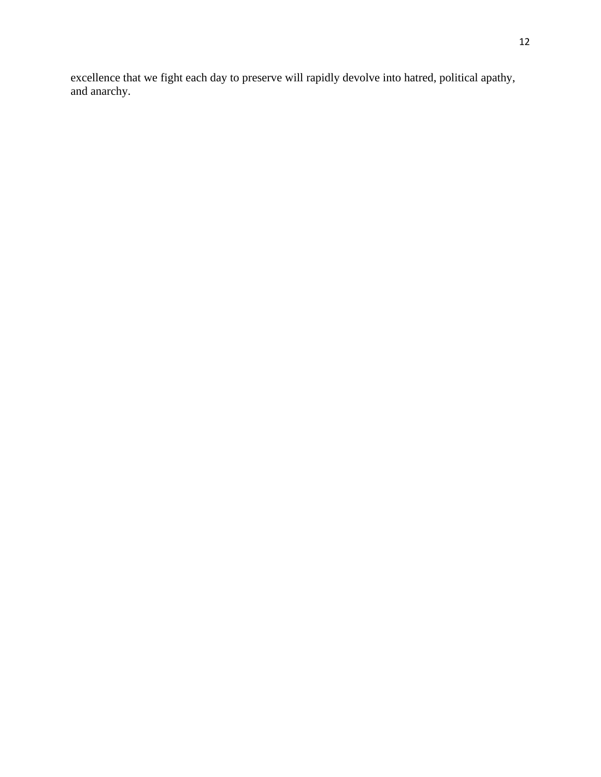excellence that we fight each day to preserve will rapidly devolve into hatred, political apathy, and anarchy.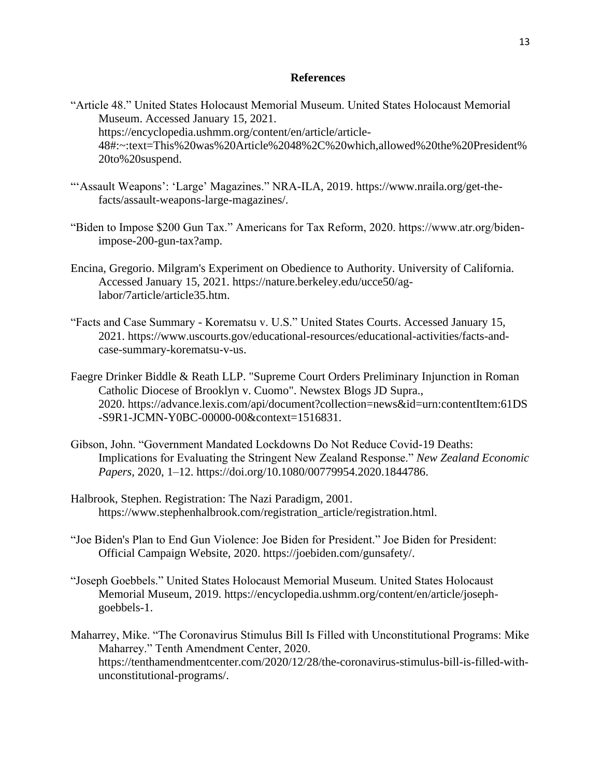## **References**

- "Article 48." United States Holocaust Memorial Museum. United States Holocaust Memorial Museum. Accessed January 15, 2021. https://encyclopedia.ushmm.org/content/en/article/article-48#:~:text=This%20was%20Article%2048%2C%20which,allowed%20the%20President% 20to%20suspend.
- "'Assault Weapons': 'Large' Magazines." NRA-ILA, 2019. https://www.nraila.org/get-thefacts/assault-weapons-large-magazines/.
- "Biden to Impose \$200 Gun Tax." Americans for Tax Reform, 2020. https://www.atr.org/bidenimpose-200-gun-tax?amp.
- Encina, Gregorio. Milgram's Experiment on Obedience to Authority. University of California. Accessed January 15, 2021. https://nature.berkeley.edu/ucce50/aglabor/7article/article35.htm.
- "Facts and Case Summary Korematsu v. U.S." United States Courts. Accessed January 15, 2021. https://www.uscourts.gov/educational-resources/educational-activities/facts-andcase-summary-korematsu-v-us.
- Faegre Drinker Biddle & Reath LLP. "Supreme Court Orders Preliminary Injunction in Roman Catholic Diocese of Brooklyn v. Cuomo". Newstex Blogs JD Supra., 2020. https://advance.lexis.com/api/document?collection=news&id=urn:contentItem:61DS -S9R1-JCMN-Y0BC-00000-00&context=1516831.
- Gibson, John. "Government Mandated Lockdowns Do Not Reduce Covid-19 Deaths: Implications for Evaluating the Stringent New Zealand Response." *New Zealand Economic Papers*, 2020, 1–12. https://doi.org/10.1080/00779954.2020.1844786.
- Halbrook, Stephen. Registration: The Nazi Paradigm, 2001. https://www.stephenhalbrook.com/registration\_article/registration.html.
- "Joe Biden's Plan to End Gun Violence: Joe Biden for President." Joe Biden for President: Official Campaign Website, 2020. https://joebiden.com/gunsafety/.
- "Joseph Goebbels." United States Holocaust Memorial Museum. United States Holocaust Memorial Museum, 2019. https://encyclopedia.ushmm.org/content/en/article/josephgoebbels-1.
- Maharrey, Mike. "The Coronavirus Stimulus Bill Is Filled with Unconstitutional Programs: Mike Maharrey." Tenth Amendment Center, 2020. https://tenthamendmentcenter.com/2020/12/28/the-coronavirus-stimulus-bill-is-filled-withunconstitutional-programs/.